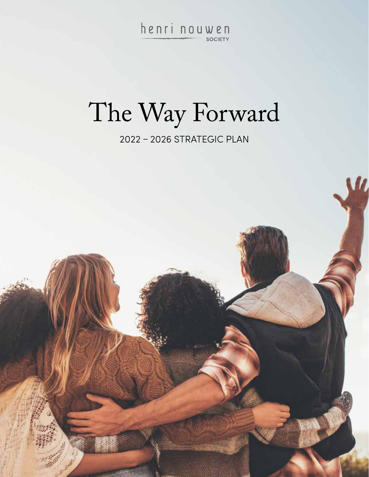Henri nouwen

# The Way Forward

2022 – 2026 STRATEGIC PLAN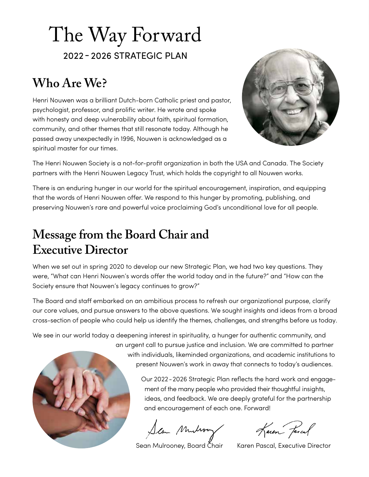## The Way Forward 2022 - 2026 STRATEGIC PLAN

### **Who Are We?**

Henri Nouwen was a brilliant Dutch-born Catholic priest and pastor, psychologist, professor, and prolific writer. He wrote and spoke with honesty and deep vulnerability about faith, spiritual formation, community, and other themes that still resonate today. Although he passed away unexpectedly in 1996, Nouwen is acknowledged as a spiritual master for our times.



The Henri Nouwen Society is a not-for-profit organization in both the USA and Canada. The Society partners with the Henri Nouwen Legacy Trust, which holds the copyright to all Nouwen works.

There is an enduring hunger in our world for the spiritual encouragement, inspiration, and equipping that the words of Henri Nouwen offer. We respond to this hunger by promoting, publishing, and preserving Nouwen's rare and powerful voice proclaiming God's unconditional love for all people.

### **Message from the Board Chair and Executive Director**

When we set out in spring 2020 to develop our new Strategic Plan, we had two key questions. They were, "What can Henri Nouwen's words offer the world today and in the future?" and "How can the Society ensure that Nouwen's legacy continues to grow?"

The Board and staff embarked on an ambitious process to refresh our organizational purpose, clarify our core values, and pursue answers to the above questions. We sought insights and ideas from a broad cross-section of people who could help us identify the themes, challenges, and strengths before us today.

We see in our world today a deepening interest in spirituality, a hunger for authentic community, and an urgent call to pursue justice and inclusion. We are committed to partner with individuals, likeminded organizations, and academic institutions to present Nouwen's work in away that connects to today's audiences.

> Our 2022-2026 Strategic Plan reflects the hard work and engage ment of the many people who provided their thoughtful insights, ideas, and feedback. We are deeply grateful for the partnership and encouragement of each one. Forward!

Sean Munderoy Karen Fascal

Sean Mulrooney, Board Čhair Karen Pascal, Executive Director

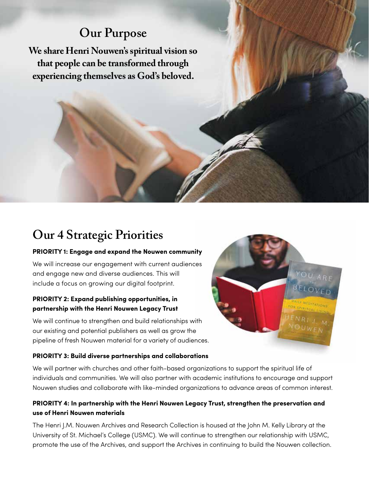### **Our Purpose**

**We share Henri Nouwen's spiritual vision so that people can be transformed through experiencing themselves as God's beloved.**

### **Our 4 Strategic Priorities**

#### **PRIORITY 1: Engage and expand the Nouwen community**

We will increase our engagement with current audiences and engage new and diverse audiences. This will include a focus on growing our digital footprint.

#### **PRIORITY 2: Expand publishing opportunities, in partnership with the Henri Nouwen Legacy Trust**

We will continue to strengthen and build relationships with our existing and potential publishers as well as grow the pipeline of fresh Nouwen material for a variety of audiences.

#### **PRIORITY 3: Build diverse partnerships and collaborations**

We will partner with churches and other faith-based organizations to support the spiritual life of individuals and communities. We will also partner with academic institutions to encourage and support Nouwen studies and collaborate with like-minded organizations to advance areas of common interest.

#### **PRIORITY 4: In partnership with the Henri Nouwen Legacy Trust, strengthen the preservation and use of Henri Nouwen materials**

The Henri J.M. Nouwen Archives and Research Collection is housed at the John M. Kelly Library at the University of St. Michael's College (USMC). We will continue to strengthen our relationship with USMC, promote the use of the Archives, and support the Archives in continuing to build the Nouwen collection.